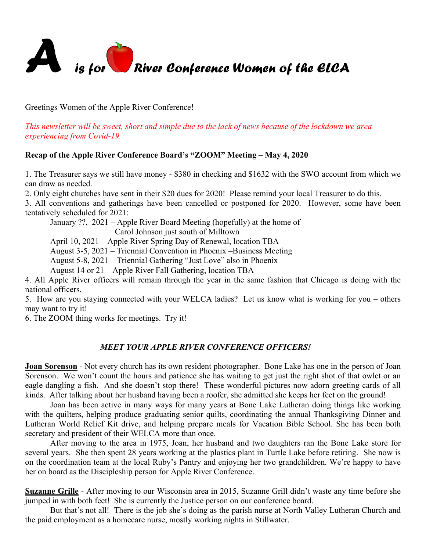

Greetings Women of the Apple River Conference!

*This newsletter will be sweet, short and simple due to the lack of news because of the lockdown we area experiencing from Covid-19.*

# **Recap of the Apple River Conference Board's "ZOOM" Meeting – May 4, 2020**

1. The Treasurer says we still have money - \$380 in checking and \$1632 with the SWO account from which we can draw as needed.

2. Only eight churches have sent in their \$20 dues for 2020! Please remind your local Treasurer to do this.

3. All conventions and gatherings have been cancelled or postponed for 2020. However, some have been tentatively scheduled for 2021:

January ??, 2021 – Apple River Board Meeting (hopefully) at the home of

Carol Johnson just south of Milltown

April 10, 2021 – Apple River Spring Day of Renewal, location TBA

August 3-5, 2021 – Triennial Convention in Phoenix –Business Meeting

August 5-8, 2021 – Triennial Gathering "Just Love" also in Phoenix

August 14 or 21 – Apple River Fall Gathering, location TBA

4. All Apple River officers will remain through the year in the same fashion that Chicago is doing with the national officers.

5. How are you staying connected with your WELCA ladies? Let us know what is working for you – others may want to try it!

6. The ZOOM thing works for meetings. Try it!

# *MEET YOUR APPLE RIVER CONFERENCE OFFICERS!*

**Joan Sorenson** - Not every church has its own resident photographer. Bone Lake has one in the person of Joan Sorenson. We won't count the hours and patience she has waiting to get just the right shot of that owlet or an eagle dangling a fish. And she doesn't stop there! These wonderful pictures now adorn greeting cards of all kinds. After talking about her husband having been a roofer, she admitted she keeps her feet on the ground!

Joan has been active in many ways for many years at Bone Lake Lutheran doing things like working with the quilters, helping produce graduating senior quilts, coordinating the annual Thanksgiving Dinner and Lutheran World Relief Kit drive, and helping prepare meals for Vacation Bible School. She has been both secretary and president of their WELCA more than once.

After moving to the area in 1975, Joan, her husband and two daughters ran the Bone Lake store for several years. She then spent 28 years working at the plastics plant in Turtle Lake before retiring. She now is on the coordination team at the local Ruby's Pantry and enjoying her two grandchildren. We're happy to have her on board as the Discipleship person for Apple River Conference.

**Suzanne Grille** - After moving to our Wisconsin area in 2015, Suzanne Grill didn't waste any time before she jumped in with both feet! She is currently the Justice person on our conference board.

But that's not all! There is the job she's doing as the parish nurse at North Valley Lutheran Church and the paid employment as a homecare nurse, mostly working nights in Stillwater.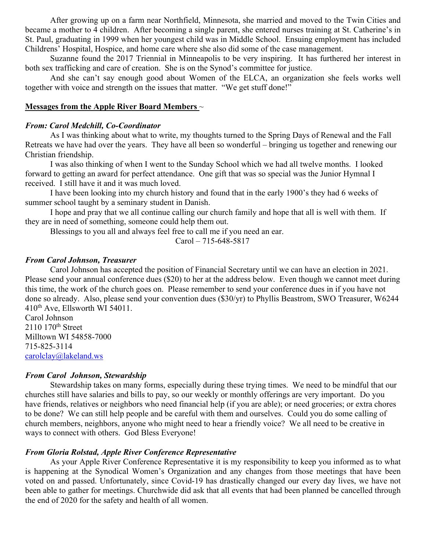After growing up on a farm near Northfield, Minnesota, she married and moved to the Twin Cities and became a mother to 4 children. After becoming a single parent, she entered nurses training at St. Catherine's in St. Paul, graduating in 1999 when her youngest child was in Middle School. Ensuing employment has included Childrens' Hospital, Hospice, and home care where she also did some of the case management.

Suzanne found the 2017 Triennial in Minneapolis to be very inspiring. It has furthered her interest in both sex trafficking and care of creation. She is on the Synod's committee for justice.

And she can't say enough good about Women of the ELCA, an organization she feels works well together with voice and strength on the issues that matter. "We get stuff done!"

#### **Messages from the Apple River Board Members** ~

#### *From: Carol Medchill, Co-Coordinator*

As I was thinking about what to write, my thoughts turned to the Spring Days of Renewal and the Fall Retreats we have had over the years. They have all been so wonderful – bringing us together and renewing our Christian friendship.

I was also thinking of when I went to the Sunday School which we had all twelve months. I looked forward to getting an award for perfect attendance. One gift that was so special was the Junior Hymnal I received. I still have it and it was much loved.

I have been looking into my church history and found that in the early 1900's they had 6 weeks of summer school taught by a seminary student in Danish.

I hope and pray that we all continue calling our church family and hope that all is well with them. If they are in need of something, someone could help them out.

Blessings to you all and always feel free to call me if you need an ear.

Carol – 715-648-5817

## *From Carol Johnson, Treasurer*

Carol Johnson has accepted the position of Financial Secretary until we can have an election in 2021. Please send your annual conference dues (\$20) to her at the address below. Even though we cannot meet during this time, the work of the church goes on. Please remember to send your conference dues in if you have not done so already. Also, please send your convention dues (\$30/yr) to Phyllis Beastrom, SWO Treasurer, W6244 410th Ave, Ellsworth WI 54011. Carol Johnson

2110 170<sup>th</sup> Street Milltown WI 54858-7000 715-825-3114 carolclay@lakeland.ws

## *From Carol Johnson, Stewardship*

Stewardship takes on many forms, especially during these trying times. We need to be mindful that our churches still have salaries and bills to pay, so our weekly or monthly offerings are very important. Do you have friends, relatives or neighbors who need financial help (if you are able); or need groceries; or extra chores to be done? We can still help people and be careful with them and ourselves. Could you do some calling of church members, neighbors, anyone who might need to hear a friendly voice? We all need to be creative in ways to connect with others. God Bless Everyone!

# *From Gloria Rolstad, Apple River Conference Representative*

As your Apple River Conference Representative it is my responsibility to keep you informed as to what is happening at the Synodical Women's Organization and any changes from those meetings that have been voted on and passed. Unfortunately, since Covid-19 has drastically changed our every day lives, we have not been able to gather for meetings. Churchwide did ask that all events that had been planned be cancelled through the end of 2020 for the safety and health of all women.